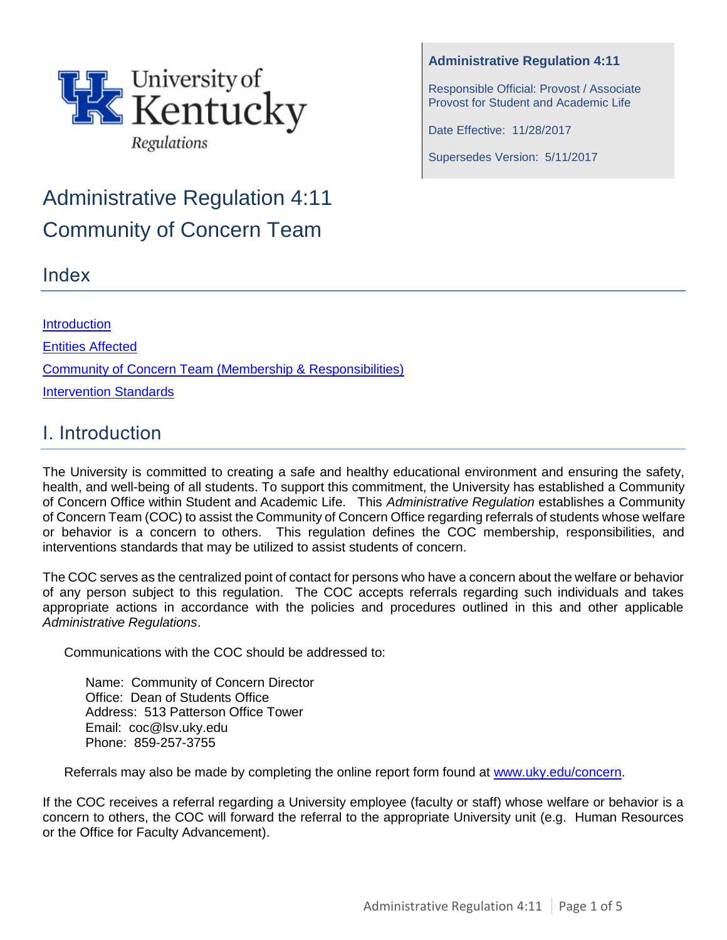

# Administrative Regulation 4:11 Community of Concern Team

## Index

**[Introduction](#page-0-0)** [Entities Affected](#page-1-0) [Community of Concern Team \(Membership & Responsibilities\)](#page-1-1) [Intervention Standards](#page-2-0)

# <span id="page-0-0"></span>I. Introduction

The University is committed to creating a safe and healthy educational environment and ensuring the safety, health, and well-being of all students. To support this commitment, the University has established a Community of Concern Office within Student and Academic Life. This *Administrative Regulation* establishes a Community of Concern Team (COC) to assist the Community of Concern Office regarding referrals of students whose welfare or behavior is a concern to others. This regulation defines the COC membership, responsibilities, and interventions standards that may be utilized to assist students of concern.

The COC serves as the centralized point of contact for persons who have a concern about the welfare or behavior of any person subject to this regulation. The COC accepts referrals regarding such individuals and takes appropriate actions in accordance with the policies and procedures outlined in this and other applicable *Administrative Regulations*.

Communications with the COC should be addressed to:

Name: Community of Concern Director Office: Dean of Students Office Address: 513 Patterson Office Tower Email: coc@lsv.uky.edu Phone: 859-257-3755

Referrals may also be made by completing the online report form found at [www.uky.edu/concern.](http://www.uky.edu/concern)

If the COC receives a referral regarding a University employee (faculty or staff) whose welfare or behavior is a concern to others, the COC will forward the referral to the appropriate University unit (e.g. Human Resources or the Office for Faculty Advancement).

#### **Administrative Regulation 4:11**

Responsible Official: Provost / Associate Provost for Student and Academic Life

Date Effective: 11/28/2017

Supersedes Version: 5/11/2017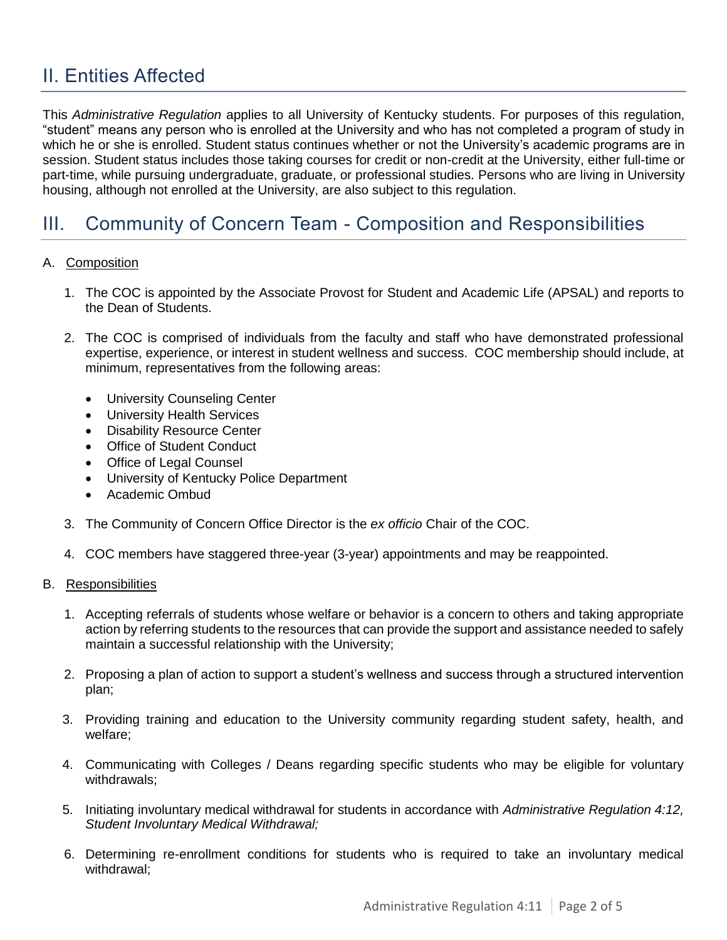# <span id="page-1-0"></span>II. Entities Affected

This *Administrative Regulation* applies to all University of Kentucky students. For purposes of this regulation, "student" means any person who is enrolled at the University and who has not completed a program of study in which he or she is enrolled. Student status continues whether or not the University's academic programs are in session. Student status includes those taking courses for credit or non-credit at the University, either full-time or part-time, while pursuing undergraduate, graduate, or professional studies. Persons who are living in University housing, although not enrolled at the University, are also subject to this regulation.

### <span id="page-1-1"></span>III. Community of Concern Team - Composition and Responsibilities

- A. Composition
	- 1. The COC is appointed by the Associate Provost for Student and Academic Life (APSAL) and reports to the Dean of Students.
	- 2. The COC is comprised of individuals from the faculty and staff who have demonstrated professional expertise, experience, or interest in student wellness and success. COC membership should include, at minimum, representatives from the following areas:
		- University Counseling Center
		- University Health Services
		- Disability Resource Center
		- Office of Student Conduct
		- Office of Legal Counsel
		- University of Kentucky Police Department
		- Academic Ombud
	- 3. The Community of Concern Office Director is the *ex officio* Chair of the COC.
	- 4. COC members have staggered three-year (3-year) appointments and may be reappointed.
- B. Responsibilities
	- 1. Accepting referrals of students whose welfare or behavior is a concern to others and taking appropriate action by referring students to the resources that can provide the support and assistance needed to safely maintain a successful relationship with the University;
	- 2. Proposing a plan of action to support a student's wellness and success through a structured intervention plan;
	- 3. Providing training and education to the University community regarding student safety, health, and welfare;
	- 4. Communicating with Colleges / Deans regarding specific students who may be eligible for voluntary withdrawals;
	- 5. Initiating involuntary medical withdrawal for students in accordance with *Administrative Regulation 4:12, Student Involuntary Medical Withdrawal;*
	- 6. Determining re-enrollment conditions for students who is required to take an involuntary medical withdrawal;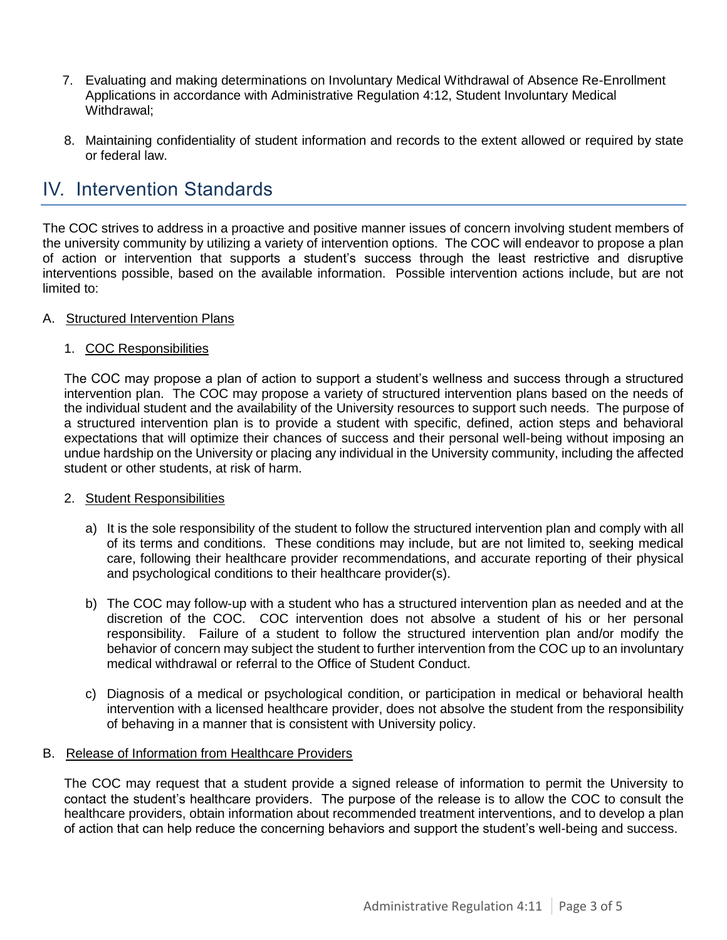- 7. Evaluating and making determinations on Involuntary Medical Withdrawal of Absence Re-Enrollment Applications in accordance with Administrative Regulation 4:12, Student Involuntary Medical Withdrawal;
- 8. Maintaining confidentiality of student information and records to the extent allowed or required by state or federal law.

### <span id="page-2-0"></span>IV. Intervention Standards

The COC strives to address in a proactive and positive manner issues of concern involving student members of the university community by utilizing a variety of intervention options. The COC will endeavor to propose a plan of action or intervention that supports a student's success through the least restrictive and disruptive interventions possible, based on the available information. Possible intervention actions include, but are not limited to:

#### A. Structured Intervention Plans

#### 1. COC Responsibilities

The COC may propose a plan of action to support a student's wellness and success through a structured intervention plan. The COC may propose a variety of structured intervention plans based on the needs of the individual student and the availability of the University resources to support such needs. The purpose of a structured intervention plan is to provide a student with specific, defined, action steps and behavioral expectations that will optimize their chances of success and their personal well-being without imposing an undue hardship on the University or placing any individual in the University community, including the affected student or other students, at risk of harm.

#### 2. Student Responsibilities

- a) It is the sole responsibility of the student to follow the structured intervention plan and comply with all of its terms and conditions. These conditions may include, but are not limited to, seeking medical care, following their healthcare provider recommendations, and accurate reporting of their physical and psychological conditions to their healthcare provider(s).
- b) The COC may follow-up with a student who has a structured intervention plan as needed and at the discretion of the COC. COC intervention does not absolve a student of his or her personal responsibility. Failure of a student to follow the structured intervention plan and/or modify the behavior of concern may subject the student to further intervention from the COC up to an involuntary medical withdrawal or referral to the Office of Student Conduct.
- c) Diagnosis of a medical or psychological condition, or participation in medical or behavioral health intervention with a licensed healthcare provider, does not absolve the student from the responsibility of behaving in a manner that is consistent with University policy.

#### B. Release of Information from Healthcare Providers

The COC may request that a student provide a signed release of information to permit the University to contact the student's healthcare providers. The purpose of the release is to allow the COC to consult the healthcare providers, obtain information about recommended treatment interventions, and to develop a plan of action that can help reduce the concerning behaviors and support the student's well-being and success.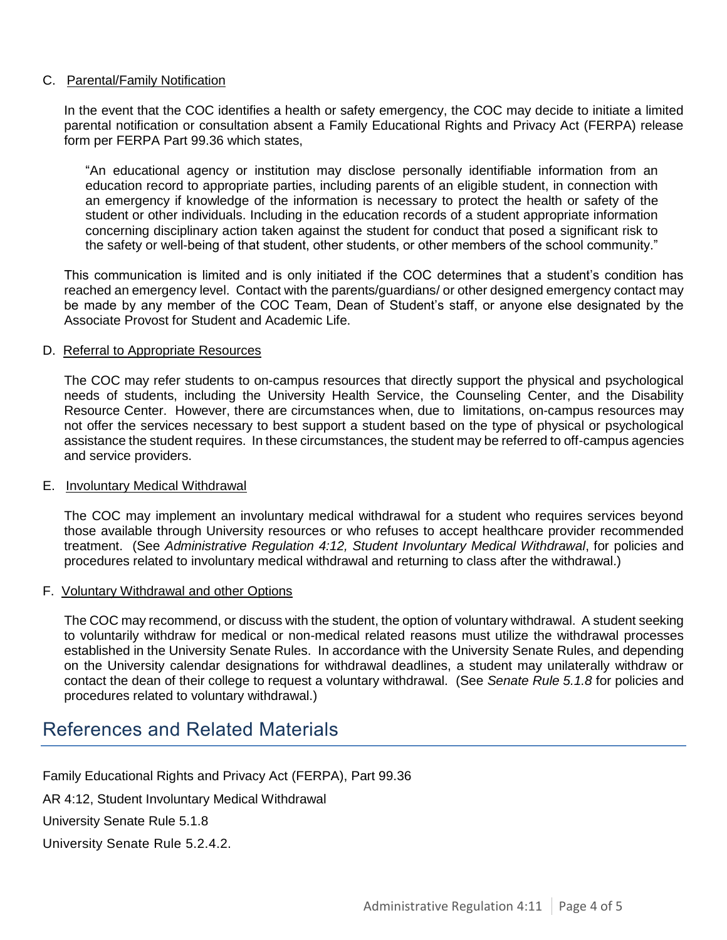#### C. Parental/Family Notification

In the event that the COC identifies a health or safety emergency, the COC may decide to initiate a limited parental notification or consultation absent a Family Educational Rights and Privacy Act (FERPA) release form per FERPA Part 99.36 which states,

"An educational agency or institution may disclose personally identifiable information from an education record to appropriate parties, including parents of an eligible student, in connection with an emergency if knowledge of the information is necessary to protect the health or safety of the student or other individuals. Including in the education records of a student appropriate information concerning disciplinary action taken against the student for conduct that posed a significant risk to the safety or well-being of that student, other students, or other members of the school community."

This communication is limited and is only initiated if the COC determines that a student's condition has reached an emergency level. Contact with the parents/guardians/ or other designed emergency contact may be made by any member of the COC Team, Dean of Student's staff, or anyone else designated by the Associate Provost for Student and Academic Life.

#### D. Referral to Appropriate Resources

The COC may refer students to on-campus resources that directly support the physical and psychological needs of students, including the University Health Service, the Counseling Center, and the Disability Resource Center. However, there are circumstances when, due to limitations, on-campus resources may not offer the services necessary to best support a student based on the type of physical or psychological assistance the student requires. In these circumstances, the student may be referred to off-campus agencies and service providers.

#### E. Involuntary Medical Withdrawal

The COC may implement an involuntary medical withdrawal for a student who requires services beyond those available through University resources or who refuses to accept healthcare provider recommended treatment. (See *Administrative Regulation 4:12, Student Involuntary Medical Withdrawal*, for policies and procedures related to involuntary medical withdrawal and returning to class after the withdrawal.)

#### F. Voluntary Withdrawal and other Options

The COC may recommend, or discuss with the student, the option of voluntary withdrawal. A student seeking to voluntarily withdraw for medical or non-medical related reasons must utilize the withdrawal processes established in the University Senate Rules. In accordance with the University Senate Rules, and depending on the University calendar designations for withdrawal deadlines, a student may unilaterally withdraw or contact the dean of their college to request a voluntary withdrawal. (See *Senate Rule 5.1.8* for policies and procedures related to voluntary withdrawal.)

### References and Related Materials

Family Educational Rights and Privacy Act (FERPA), Part 99.36

AR 4:12, Student Involuntary Medical Withdrawal

University Senate Rule 5.1.8

University Senate Rule 5.2.4.2.